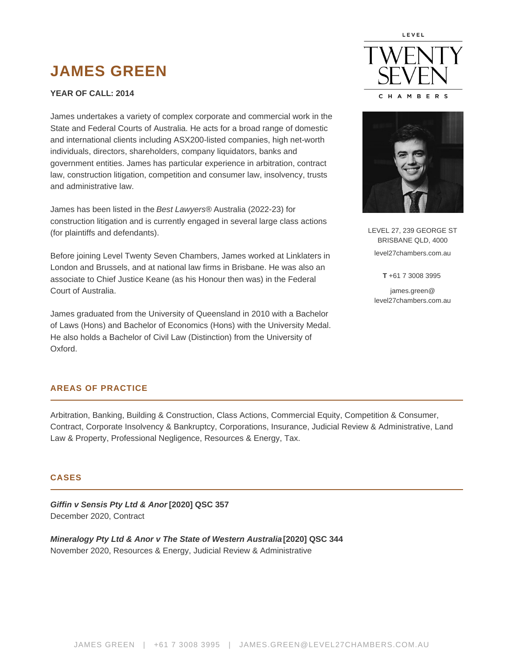# **JAMES GREEN**

#### **YEAR OF CALL: 2014**

James undertakes a variety of complex corporate and commercial work in the State and Federal Courts of Australia. He acts for a broad range of domestic and international clients including ASX200-listed companies, high net-worth individuals, directors, shareholders, company liquidators, banks and government entities. James has particular experience in arbitration, contract law, construction litigation, competition and consumer law, insolvency, trusts and administrative law.

James has been listed in the Best Lawyers® Australia (2022-23) for construction litigation and is currently engaged in several large class actions (for plaintiffs and defendants).

Before joining Level Twenty Seven Chambers, James worked at Linklaters in London and Brussels, and at national law firms in Brisbane. He was also an associate to Chief Justice Keane (as his Honour then was) in the Federal Court of Australia.

James graduated from the University of Queensland in 2010 with a Bachelor of Laws (Hons) and Bachelor of Economics (Hons) with the University Medal. He also holds a Bachelor of Civil Law (Distinction) from the University of Oxford.





LEVEL 27, 239 GEORGE ST BRISBANE QLD, 4000 level27chambers.com.au

**T** +61 7 3008 3995

james.green@ level27chambers.com.au

# **AREAS OF PRACTICE**

Arbitration, Banking, Building & Construction, Class Actions, Commercial Equity, Competition & Consumer, Contract, Corporate Insolvency & Bankruptcy, Corporations, Insurance, Judicial Review & Administrative, Land Law & Property, Professional Negligence, Resources & Energy, Tax.

#### **CASES**

**Giffin v Sensis Pty Ltd & Anor [2020] QSC 357** December 2020, Contract

**Mineralogy Pty Ltd & Anor v The State of Western Australia [2020] QSC 344** November 2020, Resources & Energy, Judicial Review & Administrative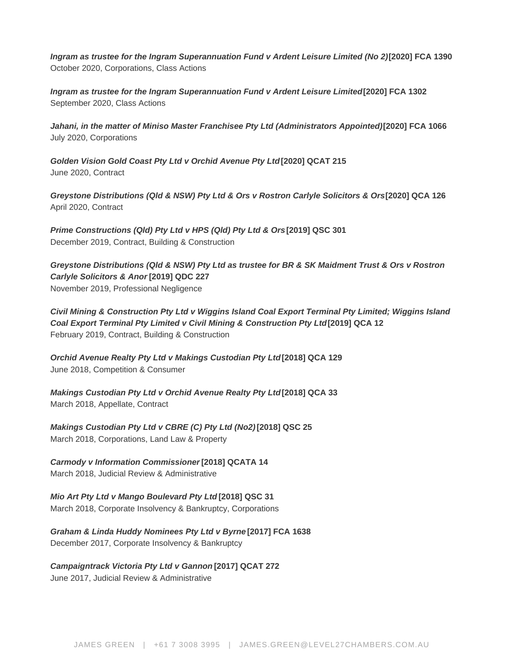**Ingram as trustee for the Ingram Superannuation Fund v Ardent Leisure Limited (No 2)[2020] FCA 1390** October 2020, Corporations, Class Actions

**Ingram as trustee for the Ingram Superannuation Fund v Ardent Leisure Limited [2020] FCA 1302** September 2020, Class Actions

**Jahani, in the matter of Miniso Master Franchisee Pty Ltd (Administrators Appointed) [2020] FCA 1066** July 2020, Corporations

**Golden Vision Gold Coast Pty Ltd v Orchid Avenue Pty Ltd [2020] QCAT 215** June 2020, Contract

**Greystone Distributions (Qld & NSW) Pty Ltd & Ors v Rostron Carlyle Solicitors & Ors [2020] QCA 126** April 2020, Contract

**Prime Constructions (Qld) Pty Ltd v HPS (Qld) Pty Ltd & Ors [2019] QSC 301** December 2019, Contract, Building & Construction

**Greystone Distributions (Qld & NSW) Pty Ltd as trustee for BR & SK Maidment Trust & Ors v Rostron Carlyle Solicitors & Anor [2019] QDC 227** November 2019, Professional Negligence

**Civil Mining & Construction Pty Ltd v Wiggins Island Coal Export Terminal Pty Limited; Wiggins Island Coal Export Terminal Pty Limited v Civil Mining & Construction Pty Ltd [2019] QCA 12** February 2019, Contract, Building & Construction

**Orchid Avenue Realty Pty Ltd v Makings Custodian Pty Ltd [2018] QCA 129** June 2018, Competition & Consumer

**Makings Custodian Pty Ltd v Orchid Avenue Realty Pty Ltd[2018] QCA 33** March 2018, Appellate, Contract

**Makings Custodian Pty Ltd v CBRE (C) Pty Ltd (No2) [2018] QSC 25** March 2018, Corporations, Land Law & Property

**Carmody v Information Commissioner [2018] QCATA 14** March 2018, Judicial Review & Administrative

**Mio Art Pty Ltd v Mango Boulevard Pty Ltd [2018] QSC 31** March 2018, Corporate Insolvency & Bankruptcy, Corporations

**Graham & Linda Huddy Nominees Pty Ltd v Byrne [2017] FCA 1638** December 2017, Corporate Insolvency & Bankruptcy

**Campaigntrack Victoria Pty Ltd v Gannon [2017] QCAT 272**

June 2017, Judicial Review & Administrative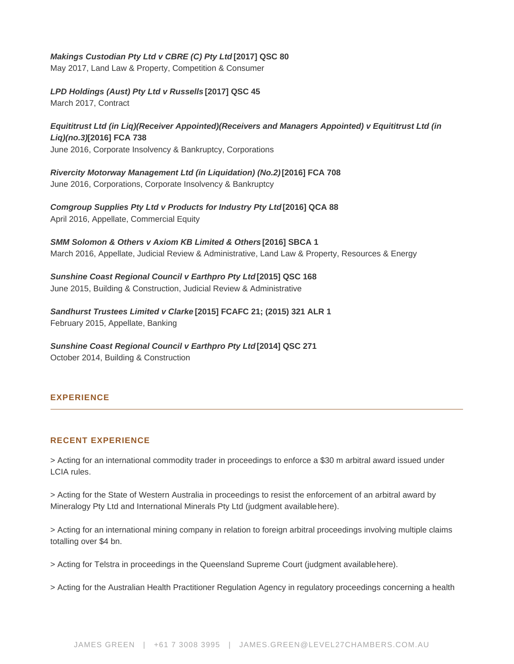| Makings Custodian Pty Ltd v CBRE (C) Pty Ltd [2017] QSC 80<br>May 2017, Land Law & Property, Competition & Consumer                                                                             |
|-------------------------------------------------------------------------------------------------------------------------------------------------------------------------------------------------|
| LPD Holdings (Aust) Pty Ltd v Russells [2017] QSC 45<br>March 2017, Contract                                                                                                                    |
| Equititrust Ltd (in Liq)(Receiver Appointed)(Receivers and Managers Appointed) v Equititrust Ltd (in<br>Liq)(no.3) [2016] FCA 738<br>June 2016, Corporate Insolvency & Bankruptcy, Corporations |
| Rivercity Motorway Management Ltd (in Liquidation) (No.2)<br>[2016] FCA 708<br>June 2016, Corporations, Corporate Insolvency & Bankruptcy                                                       |
| [2016] QCA 88<br>Comgroup Supplies Pty Ltd v Products for Industry Pty Ltd<br>April 2016, Appellate, Commercial Equity                                                                          |
| SMM Solomon & Others v Axiom KB Limited & Others [2016] SBCA 1<br>March 2016, Appellate, Judicial Review & Administrative, Land Law & Property, Resources & Energy                              |
| Sunshine Coast Regional Council v Earthpro Pty Ltd [2015] QSC 168<br>June 2015, Building & Construction, Judicial Review & Administrative                                                       |
| Sandhurst Trustees Limited v Clarke<br>[2015] FCAFC 21; (2015) 321 ALR 1<br>February 2015, Appellate, Banking                                                                                   |
| Sunshine Coast Regional Council v Earthpro Pty Ltd<br>[2014] QSC 271<br>October 2014, Building & Construction                                                                                   |

# EXPERIENCE

## RECENT EXPERIENCE

> Acting for an international commodity trader in proceedings to enforce a \$30 m arbitral award issued under LCIA rules.

> Acting for the State of Western Australia in proceedings to resist the enforcement of an arbitral award by Mineralogy Pty Ltd and International Minerals Pty Ltd (judgment available [here](https://archive.sclqld.org.au/qjudgment/2020/QSC20-344.pdf)).

> Acting for an international mining company in relation to foreign arbitral proceedings involving multiple claims totalling over \$4 bn.

> Acting for Telstra in proceedings in the Queensland Supreme Court (judgment available [here](https://archive.sclqld.org.au/qjudgment/2020/QSC20-357.pdf)).

> Acting for the Australian Health Practitioner Regulation Agency in regulatory proceedings concerning a health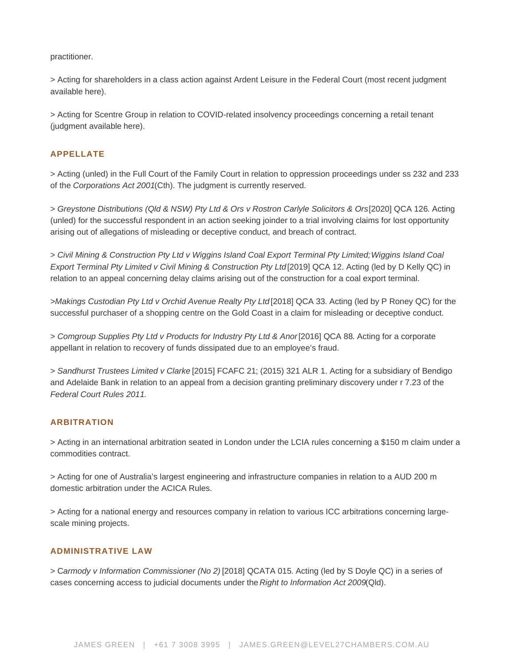practitioner.

> Acting for shareholders in a class action against Ardent Leisure in the Federal Court (most recent judgment available [here\)](https://www.judgments.fedcourt.gov.au/judgments/Judgments/fca/single/2020/2020fca1302).

> Acting for Scentre Group in relation to COVID-related insolvency proceedings concerning a retail tenant (judgment available [here\)](https://www.judgments.fedcourt.gov.au/judgments/Judgments/fca/single/2020/2020fca1066).

## APPELLATE

> Acting (unled) in the Full Court of the Family Court in relation to oppression proceedings under ss 232 and 233 of the Corporations Act 2001(Cth). The judgment is currently reserved.

> [Greystone Distributions \(Qld & NSW\) Pty Ltd & Ors v Rostron Carlyle Solicitors & Ors](https://archive.sclqld.org.au/qjudgment/2020/QCA20-126.pdf) [2020] QCA 126. Acting (unled) for the successful respondent in an action seeking joinder to a trial involving claims for lost opportunity arising out of allegations of misleading or deceptive conduct, and breach of contract.

> Civil Mining & Construction Pty Ltd v Wiggins Island Coal Export Terminal Pty Limited; [Wiggins Island Coal](https://www.queenslandjudgments.com.au/caselaw/qca/2019/12)  [Export Terminal Pty Limited v Civil Mining & Construction Pty Ltd](https://www.queenslandjudgments.com.au/caselaw/qca/2019/12) [2019] QCA 12. Acting (led by D Kelly QC) in relation to an appeal concerning delay claims arising out of the construction for a coal export terminal.

>[Makings Custodian Pty Ltd v Orchid Avenue Realty Pty Ltd](https://archive.sclqld.org.au/qjudgment/2018/QCA18-033.pdf) [2018] QCA 33. Acting (led by P Roney QC) for the successful purchaser of a shopping centre on the Gold Coast in a claim for misleading or deceptive conduct.

> [Comgroup Supplies Pty Ltd v Products for Industry Pty Ltd & Anor](https://archive.sclqld.org.au/qjudgment/2016/QCA16-088.pdf) [2016] QCA 88. Acting for a corporate appellant in relation to recovery of funds dissipated due to an employee's fraud.

> [Sandhurst Trustees Limited v Clarke \[](http://www8.austlii.edu.au/cgi-bin/viewdoc/au/cases/cth/FCAFC/2015/21.html?stem=0&synonyms=0&query=sandhurst trim)2015] FCAFC 21; (2015) 321 ALR 1. Acting for a subsidiary of Bendigo and Adelaide Bank in relation to an appeal from a decision granting preliminary discovery under r 7.23 of the Federal Court Rules 2011.

## ARBITRATION

> Acting in an international arbitration seated in London under the LCIA rules concerning a \$150 m claim under a commodities contract.

> Acting for one of Australia's largest engineering and infrastructure companies in relation to a AUD 200 m domestic arbitration under the ACICA Rules.

> Acting for a national energy and resources company in relation to various ICC arbitrations concerning largescale mining projects.

# ADMINISTRATIVE LAW

> [Carmody v Information Commissioner \(No 2\)](https://archive.sclqld.org.au/qjudgment/2018/QCATA18-014.pdf) [2018] QCATA 015. Acting (led by [S Doyle QC\)](https://www.level27chambers.com.au/barristers/shane-doyle/) in a series of cases concerning access to judicial documents under the Right to Information Act 2009(Qld).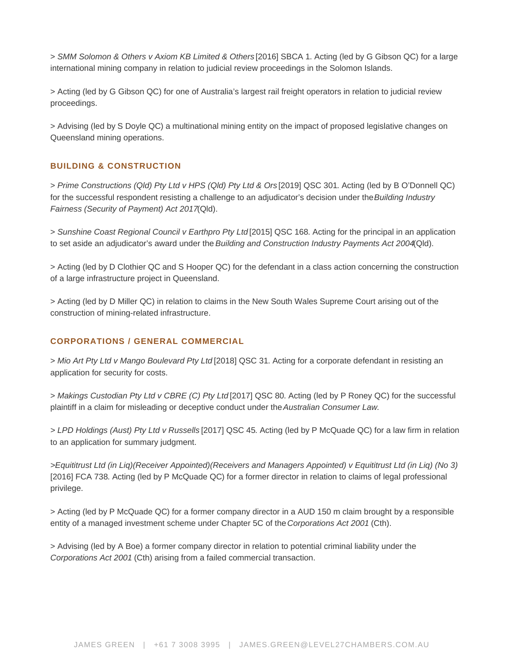> [SMM Solomon & Others v Axiom KB Limited & Others \[](http://www.paclii.org/sb/cases/SBCA/2016/1.html)2016] SBCA 1. Acting (led by G Gibson QC) for a large international mining company in relation to judicial review proceedings in the Solomon Islands.

> Acting (led by G Gibson QC) for one of Australia's largest rail freight operators in relation to judicial review proceedings.

> Advising (led by [S Doyle QC](https://www.level27chambers.com.au/barristers/shane-doyle/)) a multinational mining entity on the impact of proposed legislative changes on Queensland mining operations.

## BUILDING & CONSTRUCTION

> [Prime Constructions \(Qld\) Pty Ltd v HPS \(Qld\) Pty Ltd & Ors](https://archive.sclqld.org.au/qjudgment/2019/QSC19-301.pdf) [2019] QSC 301. Acting (led by B O'Donnell QC) for the successful respondent resisting a challenge to an adjudicator's decision under the Building Industry Fairness (Security of Payment) Act 2017(Qld).

> [Sunshine Coast Regional Council v Earthpro Pty Ltd](https://archive.sclqld.org.au/qjudgment/2015/QSC15-168.pdf) [2015] QSC 168. Acting for the principal in an application to set aside an adjudicator's award under the Building and Construction Industry Payments Act 2004(Qld).

> Acting (led by [D Clothier QC](https://www.level27chambers.com.au/barristers/damian-clothier/) and S Hooper QC) for the defendant in a class action concerning the construction of a large infrastructure project in Queensland.

> Acting (led by D Miller QC) in relation to claims in the New South Wales Supreme Court arising out of the construction of mining-related infrastructure.

#### CORPORATIONS / GENERAL COMMERCIAL

> [Mio Art Pty Ltd v Mango Boulevard Pty Ltd \[](https://archive.sclqld.org.au/qjudgment/2018/QSC18-031.pdf)2018] QSC 31. Acting for a corporate defendant in resisting an application for security for costs.

> [Makings Custodian Pty Ltd v CBRE \(C\) Pty Ltd \[](https://archive.sclqld.org.au/qjudgment/2017/QSC17-080.pdf)2017] QSC 80. Acting (led by P Roney QC) for the successful plaintiff in a claim for misleading or deceptive conduct under the Australian Consumer Law.

> [LPD Holdings \(Aust\) Pty Ltd v Russells \[](https://archive.sclqld.org.au/qjudgment/2017/QSC17-045.pdf)2017] QSC 45. Acting (led by [P McQuade QC](https://www.level27chambers.com.au/barristers/paul-mcquade/)) for a law firm in relation to an application for summary judgment.

>[Equititrust Ltd \(in Liq\)\(Receiver Appointed\)\(Receivers and Managers Appointed\) v Equititrust Ltd \(in Liq\) \(No 3\)](http://www6.austlii.edu.au/cgi-bin/viewdoc/au/cases/cth/FCA/2016/738.html?stem=0&synonyms=0&query=mcquade)  [\[2016\] FCA 738](http://www6.austlii.edu.au/cgi-bin/viewdoc/au/cases/cth/FCA/2016/738.html?stem=0&synonyms=0&query=mcquade). Acting (led by [P McQuade QC](https://www.level27chambers.com.au/barristers/paul-mcquade/)) for a former director in relation to claims of legal professional privilege.

> Acting (led by [P McQuade QC\)](https://www.level27chambers.com.au/barristers/paul-mcquade/) for a former company director in a AUD 150 m claim brought by a responsible entity of a managed investment scheme under Chapter 5C of the Corporations Act 2001 (Cth).

> Advising (led by A Boe) a former company director in relation to potential criminal liability under the Corporations Act 2001 (Cth) arising from a failed commercial transaction.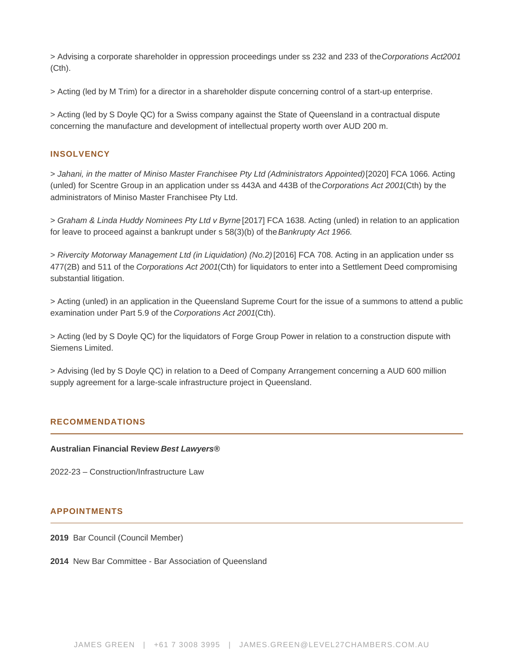> Advising a corporate shareholder in oppression proceedings under ss 232 and 233 of the Corporations Act2001 (Cth).

> Acting (led by [M Trim\)](https://www.level27chambers.com.au/barristers/michael-trim/) for a director in a shareholder dispute concerning control of a start-up enterprise.

> Acting (led by [S Doyle QC\)](https://www.level27chambers.com.au/barristers/shane-doyle/) for a Swiss company against the State of Queensland in a contractual dispute concerning the manufacture and development of intellectual property worth over AUD 200 m.

## INSOLVENCY

> [Jahani, in the matter of Miniso Master Franchisee Pty Ltd \(Administrators Appointed\)](https://www.judgments.fedcourt.gov.au/judgments/Judgments/fca/single/2020/2020fca1066) [2020] FCA 1066. Acting (unled) for Scentre Group in an application under ss 443A and 443B of the Corporations Act 2001(Cth) by the administrators of Miniso Master Franchisee Pty Ltd.

> [Graham & Linda Huddy Nominees Pty Ltd v Byrne](http://www.austlii.edu.au/cgi-bin/viewdoc/au/cases/cth/FCA/2017/1638.html) [2017] FCA 1638. Acting (unled) in relation to an application for leave to proceed against a bankrupt under s 58(3)(b) of the Bankrupty Act 1966.

> [Rivercity Motorway Management Ltd \(in Liquidation\) \(No.2\) \[](http://www7.austlii.edu.au/cgi-bin/viewdoc/au/cases/cth/FCA/2016/708.html)2016] FCA 708. Acting in an application under ss 477(2B) and 511 of the Corporations Act 2001(Cth) for liquidators to enter into a Settlement Deed compromising substantial litigation.

> Acting (unled) in an application in the Queensland Supreme Court for the issue of a summons to attend a public examination under Part 5.9 of the Corporations Act 2001(Cth).

> Acting (led by [S Doyle QC\)](https://www.level27chambers.com.au/barristers/shane-doyle/) for the liquidators of Forge Group Power in relation to a construction dispute with Siemens Limited.

> Advising (led by [S Doyle QC](https://www.level27chambers.com.au/barristers/shane-doyle/)) in relation to a Deed of Company Arrangement concerning a AUD 600 million supply agreement for a large-scale infrastructure project in Queensland.

#### RECOMMENDATIONS

Australian Financial Review Best Lawyers®

2022-23 – Construction/Infrastructure Law

#### APPOINTMENTS

2019 Bar Council (Council Member)

2014 New Bar Committee - Bar Association of Queensland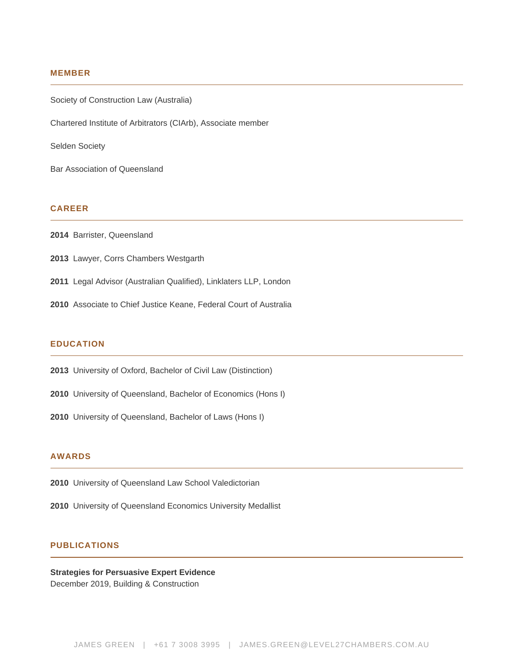#### **MEMBER**

Society of Construction Law (Australia)

Chartered Institute of Arbitrators (CIArb), Associate member

Selden Society

Bar Association of Queensland

### **CAREER**

- **2014** Barrister, Queensland
- **2013** Lawyer, Corrs Chambers Westgarth
- **2011** Legal Advisor (Australian Qualified), Linklaters LLP, London
- **2010** Associate to Chief Justice Keane, Federal Court of Australia

#### **EDUCATION**

- **2013** University of Oxford, Bachelor of Civil Law (Distinction)
- **2010** University of Queensland, Bachelor of Economics (Hons I)
- **2010** University of Queensland, Bachelor of Laws (Hons I)

## **AWARDS**

- **2010** University of Queensland Law School Valedictorian
- **2010** University of Queensland Economics University Medallist

### **PUBLICATIONS**

#### **Strategies for Persuasive Expert Evidence** December 2019, Building & Construction